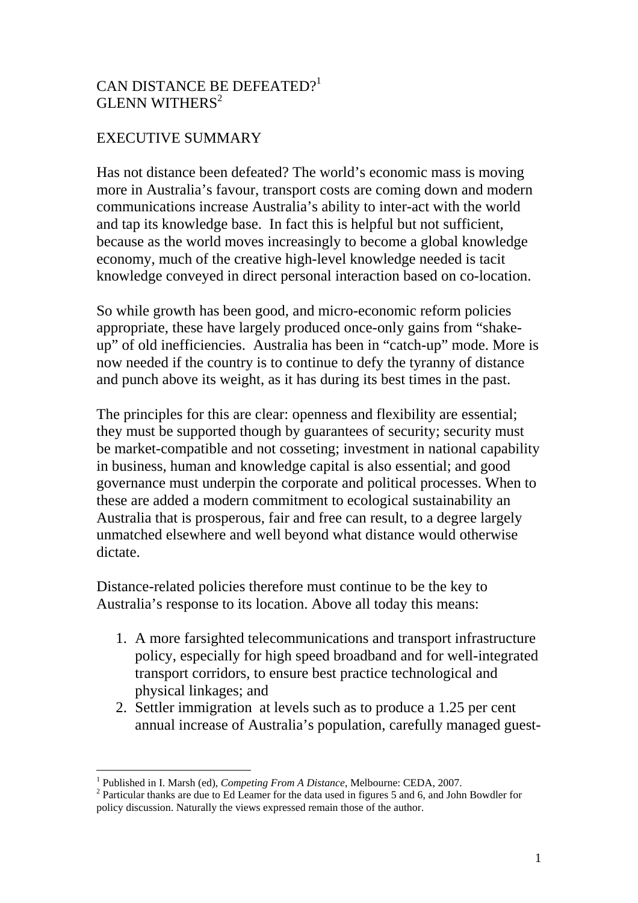## CAN DISTANCE BE DEFEATED?<sup>1</sup> GLENN WITHERS<sup>2</sup>

# EXECUTIVE SUMMARY

Has not distance been defeated? The world's economic mass is moving more in Australia's favour, transport costs are coming down and modern communications increase Australia's ability to inter-act with the world and tap its knowledge base. In fact this is helpful but not sufficient, because as the world moves increasingly to become a global knowledge economy, much of the creative high-level knowledge needed is tacit knowledge conveyed in direct personal interaction based on co-location.

So while growth has been good, and micro-economic reform policies appropriate, these have largely produced once-only gains from "shakeup" of old inefficiencies. Australia has been in "catch-up" mode. More is now needed if the country is to continue to defy the tyranny of distance and punch above its weight, as it has during its best times in the past.

The principles for this are clear: openness and flexibility are essential; they must be supported though by guarantees of security; security must be market-compatible and not cosseting; investment in national capability in business, human and knowledge capital is also essential; and good governance must underpin the corporate and political processes. When to these are added a modern commitment to ecological sustainability an Australia that is prosperous, fair and free can result, to a degree largely unmatched elsewhere and well beyond what distance would otherwise dictate.

Distance-related policies therefore must continue to be the key to Australia's response to its location. Above all today this means:

- 1. A more farsighted telecommunications and transport infrastructure policy, especially for high speed broadband and for well-integrated transport corridors, to ensure best practice technological and physical linkages; and
- 2. Settler immigration at levels such as to produce a 1.25 per cent annual increase of Australia's population, carefully managed guest-

 $\overline{a}$ <sup>1</sup> Published in I. Marsh (ed), *Competing From A Distance*, Melbourne: CEDA, 2007.

Particular thanks are due to Ed Leamer for the data used in figures 5 and 6, and John Bowdler for policy discussion. Naturally the views expressed remain those of the author.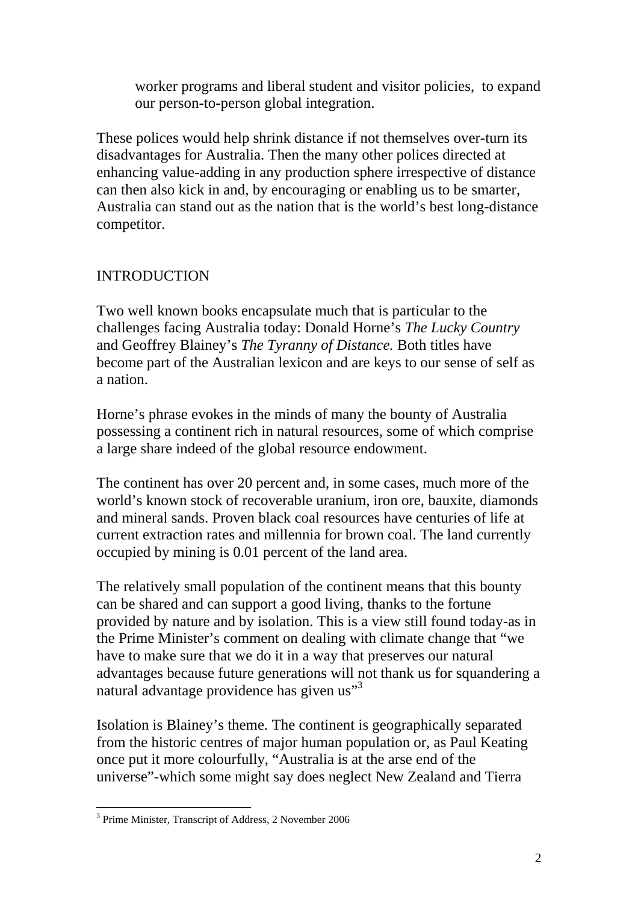worker programs and liberal student and visitor policies, to expand our person-to-person global integration.

These polices would help shrink distance if not themselves over-turn its disadvantages for Australia. Then the many other polices directed at enhancing value-adding in any production sphere irrespective of distance can then also kick in and, by encouraging or enabling us to be smarter, Australia can stand out as the nation that is the world's best long-distance competitor.

# INTRODUCTION

Two well known books encapsulate much that is particular to the challenges facing Australia today: Donald Horne's *The Lucky Country* and Geoffrey Blainey's *The Tyranny of Distance.* Both titles have become part of the Australian lexicon and are keys to our sense of self as a nation.

Horne's phrase evokes in the minds of many the bounty of Australia possessing a continent rich in natural resources, some of which comprise a large share indeed of the global resource endowment.

The continent has over 20 percent and, in some cases, much more of the world's known stock of recoverable uranium, iron ore, bauxite, diamonds and mineral sands. Proven black coal resources have centuries of life at current extraction rates and millennia for brown coal. The land currently occupied by mining is 0.01 percent of the land area.

The relatively small population of the continent means that this bounty can be shared and can support a good living, thanks to the fortune provided by nature and by isolation. This is a view still found today-as in the Prime Minister's comment on dealing with climate change that "we have to make sure that we do it in a way that preserves our natural advantages because future generations will not thank us for squandering a natural advantage providence has given us"<sup>3</sup>

Isolation is Blainey's theme. The continent is geographically separated from the historic centres of major human population or, as Paul Keating once put it more colourfully, "Australia is at the arse end of the universe"-which some might say does neglect New Zealand and Tierra

<sup>&</sup>lt;sup>3</sup> Prime Minister, Transcript of Address, 2 November 2006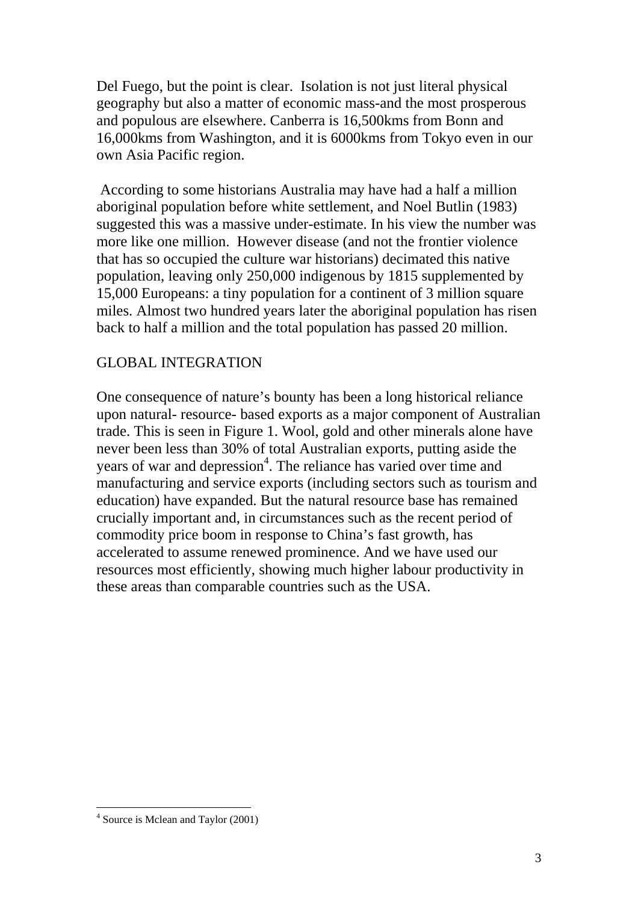Del Fuego, but the point is clear. Isolation is not just literal physical geography but also a matter of economic mass-and the most prosperous and populous are elsewhere. Canberra is 16,500kms from Bonn and 16,000kms from Washington, and it is 6000kms from Tokyo even in our own Asia Pacific region.

 According to some historians Australia may have had a half a million aboriginal population before white settlement, and Noel Butlin (1983) suggested this was a massive under-estimate. In his view the number was more like one million. However disease (and not the frontier violence that has so occupied the culture war historians) decimated this native population, leaving only 250,000 indigenous by 1815 supplemented by 15,000 Europeans: a tiny population for a continent of 3 million square miles. Almost two hundred years later the aboriginal population has risen back to half a million and the total population has passed 20 million.

#### GLOBAL INTEGRATION

One consequence of nature's bounty has been a long historical reliance upon natural- resource- based exports as a major component of Australian trade. This is seen in Figure 1. Wool, gold and other minerals alone have never been less than 30% of total Australian exports, putting aside the years of war and depression<sup>4</sup>. The reliance has varied over time and manufacturing and service exports (including sectors such as tourism and education) have expanded. But the natural resource base has remained crucially important and, in circumstances such as the recent period of commodity price boom in response to China's fast growth, has accelerated to assume renewed prominence. And we have used our resources most efficiently, showing much higher labour productivity in these areas than comparable countries such as the USA.

 $\overline{a}$ 

<sup>&</sup>lt;sup>4</sup> Source is Mclean and Taylor (2001)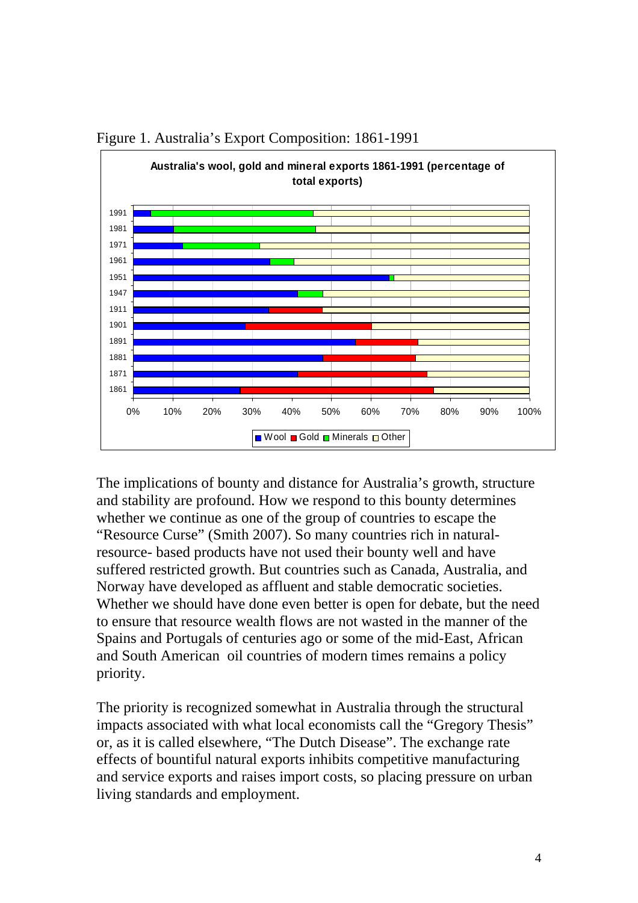

Figure 1. Australia's Export Composition: 1861-1991

The implications of bounty and distance for Australia's growth, structure and stability are profound. How we respond to this bounty determines whether we continue as one of the group of countries to escape the "Resource Curse" (Smith 2007). So many countries rich in naturalresource- based products have not used their bounty well and have suffered restricted growth. But countries such as Canada, Australia, and Norway have developed as affluent and stable democratic societies. Whether we should have done even better is open for debate, but the need to ensure that resource wealth flows are not wasted in the manner of the Spains and Portugals of centuries ago or some of the mid-East, African and South American oil countries of modern times remains a policy priority.

The priority is recognized somewhat in Australia through the structural impacts associated with what local economists call the "Gregory Thesis" or, as it is called elsewhere, "The Dutch Disease". The exchange rate effects of bountiful natural exports inhibits competitive manufacturing and service exports and raises import costs, so placing pressure on urban living standards and employment.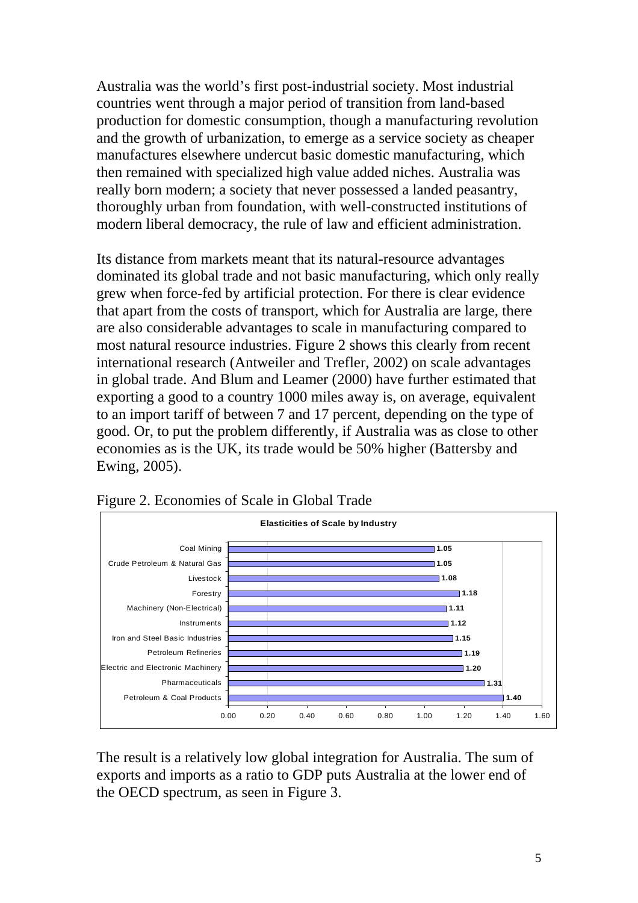Australia was the world's first post-industrial society. Most industrial countries went through a major period of transition from land-based production for domestic consumption, though a manufacturing revolution and the growth of urbanization, to emerge as a service society as cheaper manufactures elsewhere undercut basic domestic manufacturing, which then remained with specialized high value added niches. Australia was really born modern; a society that never possessed a landed peasantry, thoroughly urban from foundation, with well-constructed institutions of modern liberal democracy, the rule of law and efficient administration.

Its distance from markets meant that its natural-resource advantages dominated its global trade and not basic manufacturing, which only really grew when force-fed by artificial protection. For there is clear evidence that apart from the costs of transport, which for Australia are large, there are also considerable advantages to scale in manufacturing compared to most natural resource industries. Figure 2 shows this clearly from recent international research (Antweiler and Trefler, 2002) on scale advantages in global trade. And Blum and Leamer (2000) have further estimated that exporting a good to a country 1000 miles away is, on average, equivalent to an import tariff of between 7 and 17 percent, depending on the type of good. Or, to put the problem differently, if Australia was as close to other economies as is the UK, its trade would be 50% higher (Battersby and Ewing, 2005).



Figure 2. Economies of Scale in Global Trade

The result is a relatively low global integration for Australia. The sum of exports and imports as a ratio to GDP puts Australia at the lower end of the OECD spectrum, as seen in Figure 3.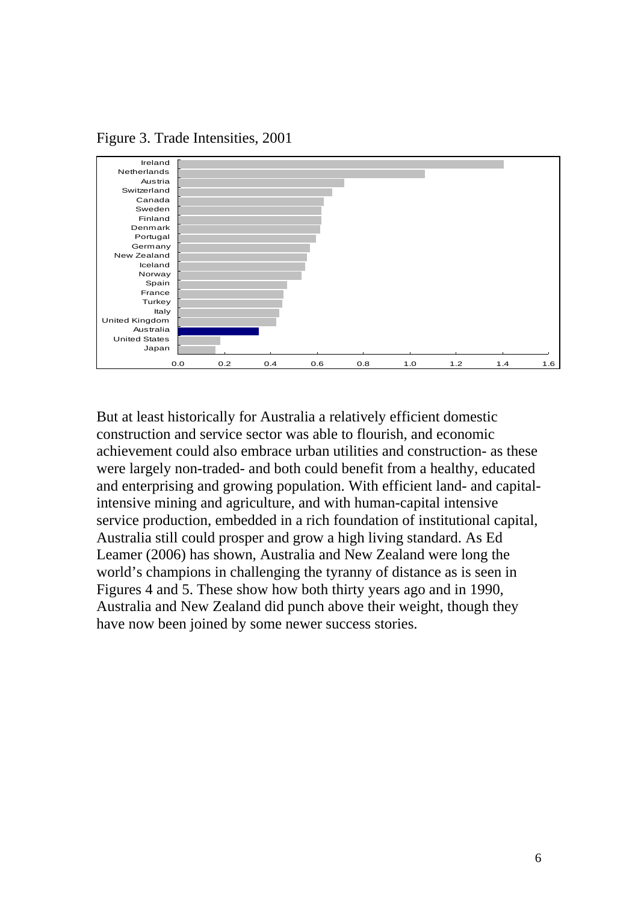Figure 3. Trade Intensities, 2001



But at least historically for Australia a relatively efficient domestic construction and service sector was able to flourish, and economic achievement could also embrace urban utilities and construction- as these were largely non-traded- and both could benefit from a healthy, educated and enterprising and growing population. With efficient land- and capitalintensive mining and agriculture, and with human-capital intensive service production, embedded in a rich foundation of institutional capital, Australia still could prosper and grow a high living standard. As Ed Leamer (2006) has shown, Australia and New Zealand were long the world's champions in challenging the tyranny of distance as is seen in Figures 4 and 5. These show how both thirty years ago and in 1990, Australia and New Zealand did punch above their weight, though they have now been joined by some newer success stories.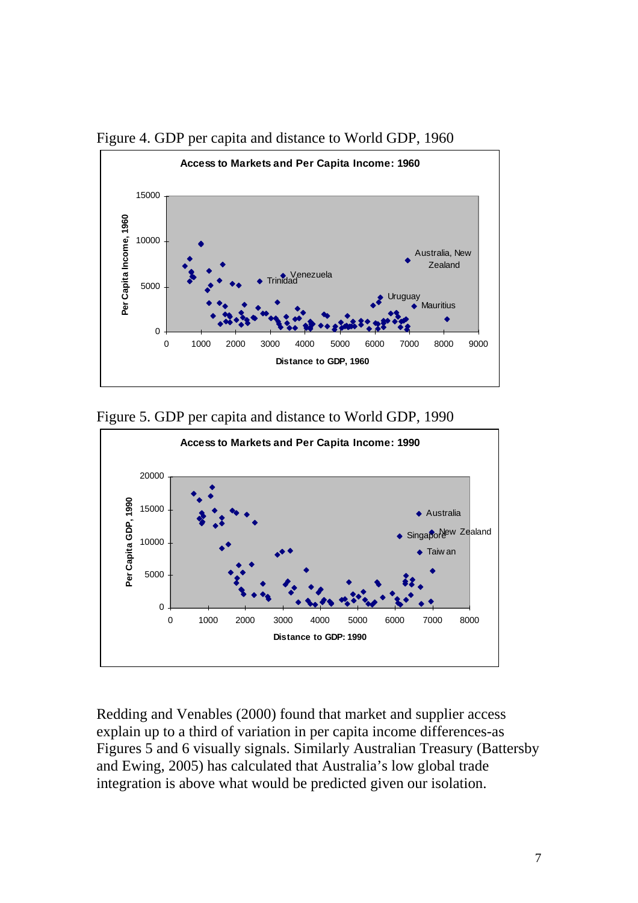

Figure 4. GDP per capita and distance to World GDP, 1960

Figure 5. GDP per capita and distance to World GDP, 1990



Redding and Venables (2000) found that market and supplier access explain up to a third of variation in per capita income differences-as Figures 5 and 6 visually signals. Similarly Australian Treasury (Battersby and Ewing, 2005) has calculated that Australia's low global trade integration is above what would be predicted given our isolation.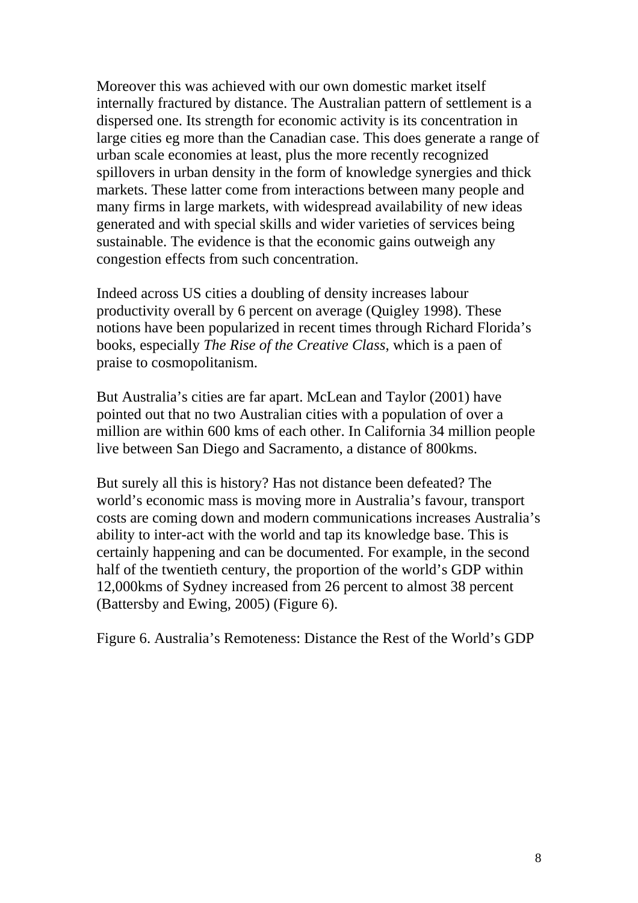Moreover this was achieved with our own domestic market itself internally fractured by distance. The Australian pattern of settlement is a dispersed one. Its strength for economic activity is its concentration in large cities eg more than the Canadian case. This does generate a range of urban scale economies at least, plus the more recently recognized spillovers in urban density in the form of knowledge synergies and thick markets. These latter come from interactions between many people and many firms in large markets, with widespread availability of new ideas generated and with special skills and wider varieties of services being sustainable. The evidence is that the economic gains outweigh any congestion effects from such concentration.

Indeed across US cities a doubling of density increases labour productivity overall by 6 percent on average (Quigley 1998). These notions have been popularized in recent times through Richard Florida's books, especially *The Rise of the Creative Class*, which is a paen of praise to cosmopolitanism.

But Australia's cities are far apart. McLean and Taylor (2001) have pointed out that no two Australian cities with a population of over a million are within 600 kms of each other. In California 34 million people live between San Diego and Sacramento, a distance of 800kms.

But surely all this is history? Has not distance been defeated? The world's economic mass is moving more in Australia's favour, transport costs are coming down and modern communications increases Australia's ability to inter-act with the world and tap its knowledge base. This is certainly happening and can be documented. For example, in the second half of the twentieth century, the proportion of the world's GDP within 12,000kms of Sydney increased from 26 percent to almost 38 percent (Battersby and Ewing, 2005) (Figure 6).

Figure 6. Australia's Remoteness: Distance the Rest of the World's GDP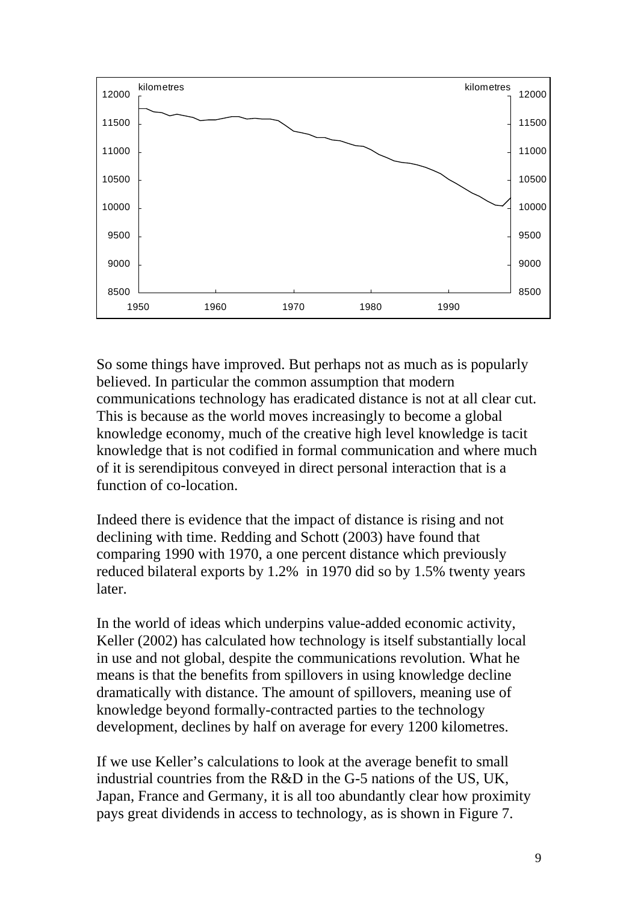

So some things have improved. But perhaps not as much as is popularly believed. In particular the common assumption that modern communications technology has eradicated distance is not at all clear cut. This is because as the world moves increasingly to become a global knowledge economy, much of the creative high level knowledge is tacit knowledge that is not codified in formal communication and where much of it is serendipitous conveyed in direct personal interaction that is a function of co-location.

Indeed there is evidence that the impact of distance is rising and not declining with time. Redding and Schott (2003) have found that comparing 1990 with 1970, a one percent distance which previously reduced bilateral exports by 1.2% in 1970 did so by 1.5% twenty years later.

In the world of ideas which underpins value-added economic activity, Keller (2002) has calculated how technology is itself substantially local in use and not global, despite the communications revolution. What he means is that the benefits from spillovers in using knowledge decline dramatically with distance. The amount of spillovers, meaning use of knowledge beyond formally-contracted parties to the technology development, declines by half on average for every 1200 kilometres.

If we use Keller's calculations to look at the average benefit to small industrial countries from the R&D in the G-5 nations of the US, UK, Japan, France and Germany, it is all too abundantly clear how proximity pays great dividends in access to technology, as is shown in Figure 7.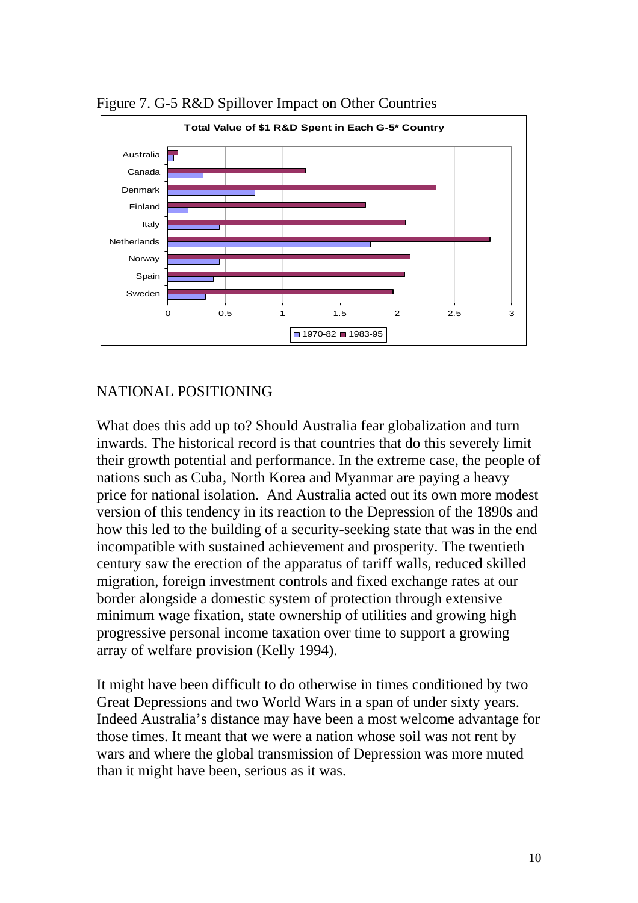

Figure 7. G-5 R&D Spillover Impact on Other Countries

## NATIONAL POSITIONING

What does this add up to? Should Australia fear globalization and turn inwards. The historical record is that countries that do this severely limit their growth potential and performance. In the extreme case, the people of nations such as Cuba, North Korea and Myanmar are paying a heavy price for national isolation. And Australia acted out its own more modest version of this tendency in its reaction to the Depression of the 1890s and how this led to the building of a security-seeking state that was in the end incompatible with sustained achievement and prosperity. The twentieth century saw the erection of the apparatus of tariff walls, reduced skilled migration, foreign investment controls and fixed exchange rates at our border alongside a domestic system of protection through extensive minimum wage fixation, state ownership of utilities and growing high progressive personal income taxation over time to support a growing array of welfare provision (Kelly 1994).

It might have been difficult to do otherwise in times conditioned by two Great Depressions and two World Wars in a span of under sixty years. Indeed Australia's distance may have been a most welcome advantage for those times. It meant that we were a nation whose soil was not rent by wars and where the global transmission of Depression was more muted than it might have been, serious as it was.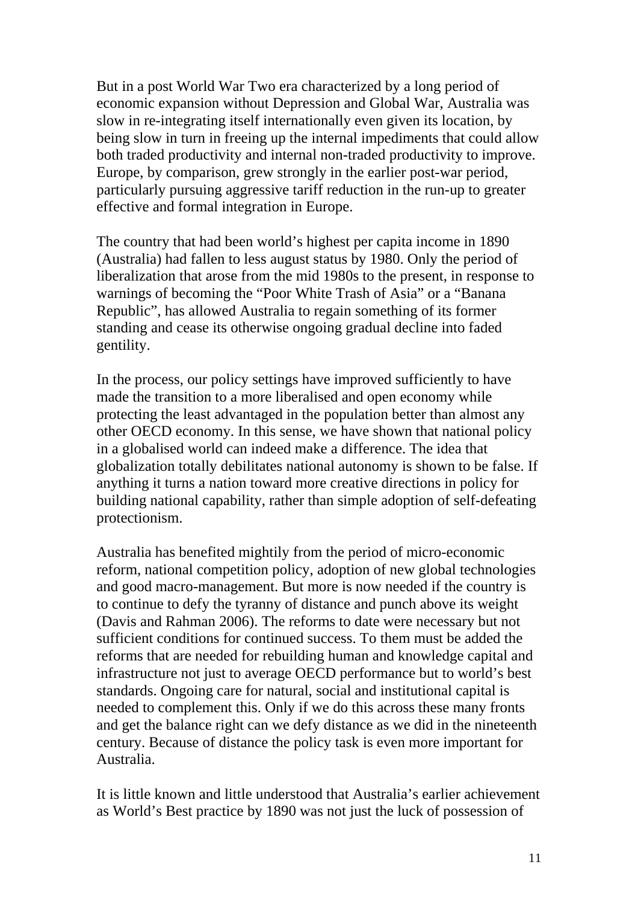But in a post World War Two era characterized by a long period of economic expansion without Depression and Global War, Australia was slow in re-integrating itself internationally even given its location, by being slow in turn in freeing up the internal impediments that could allow both traded productivity and internal non-traded productivity to improve. Europe, by comparison, grew strongly in the earlier post-war period, particularly pursuing aggressive tariff reduction in the run-up to greater effective and formal integration in Europe.

The country that had been world's highest per capita income in 1890 (Australia) had fallen to less august status by 1980. Only the period of liberalization that arose from the mid 1980s to the present, in response to warnings of becoming the "Poor White Trash of Asia" or a "Banana Republic", has allowed Australia to regain something of its former standing and cease its otherwise ongoing gradual decline into faded gentility.

In the process, our policy settings have improved sufficiently to have made the transition to a more liberalised and open economy while protecting the least advantaged in the population better than almost any other OECD economy. In this sense, we have shown that national policy in a globalised world can indeed make a difference. The idea that globalization totally debilitates national autonomy is shown to be false. If anything it turns a nation toward more creative directions in policy for building national capability, rather than simple adoption of self-defeating protectionism.

Australia has benefited mightily from the period of micro-economic reform, national competition policy, adoption of new global technologies and good macro-management. But more is now needed if the country is to continue to defy the tyranny of distance and punch above its weight (Davis and Rahman 2006). The reforms to date were necessary but not sufficient conditions for continued success. To them must be added the reforms that are needed for rebuilding human and knowledge capital and infrastructure not just to average OECD performance but to world's best standards. Ongoing care for natural, social and institutional capital is needed to complement this. Only if we do this across these many fronts and get the balance right can we defy distance as we did in the nineteenth century. Because of distance the policy task is even more important for Australia.

It is little known and little understood that Australia's earlier achievement as World's Best practice by 1890 was not just the luck of possession of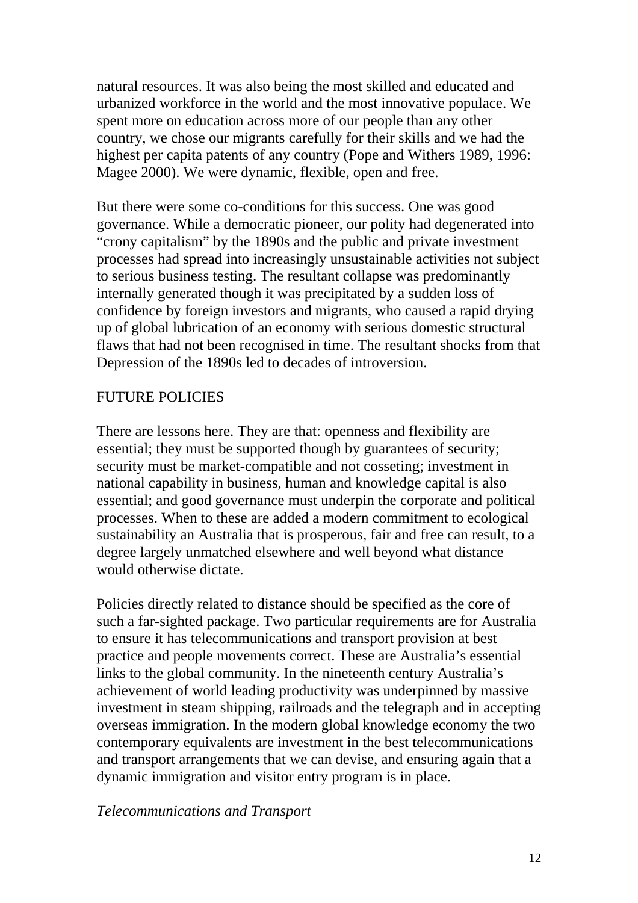natural resources. It was also being the most skilled and educated and urbanized workforce in the world and the most innovative populace. We spent more on education across more of our people than any other country, we chose our migrants carefully for their skills and we had the highest per capita patents of any country (Pope and Withers 1989, 1996: Magee 2000). We were dynamic, flexible, open and free.

But there were some co-conditions for this success. One was good governance. While a democratic pioneer, our polity had degenerated into "crony capitalism" by the 1890s and the public and private investment processes had spread into increasingly unsustainable activities not subject to serious business testing. The resultant collapse was predominantly internally generated though it was precipitated by a sudden loss of confidence by foreign investors and migrants, who caused a rapid drying up of global lubrication of an economy with serious domestic structural flaws that had not been recognised in time. The resultant shocks from that Depression of the 1890s led to decades of introversion.

### FUTURE POLICIES

There are lessons here. They are that: openness and flexibility are essential; they must be supported though by guarantees of security; security must be market-compatible and not cosseting; investment in national capability in business, human and knowledge capital is also essential; and good governance must underpin the corporate and political processes. When to these are added a modern commitment to ecological sustainability an Australia that is prosperous, fair and free can result, to a degree largely unmatched elsewhere and well beyond what distance would otherwise dictate.

Policies directly related to distance should be specified as the core of such a far-sighted package. Two particular requirements are for Australia to ensure it has telecommunications and transport provision at best practice and people movements correct. These are Australia's essential links to the global community. In the nineteenth century Australia's achievement of world leading productivity was underpinned by massive investment in steam shipping, railroads and the telegraph and in accepting overseas immigration. In the modern global knowledge economy the two contemporary equivalents are investment in the best telecommunications and transport arrangements that we can devise, and ensuring again that a dynamic immigration and visitor entry program is in place.

### *Telecommunications and Transport*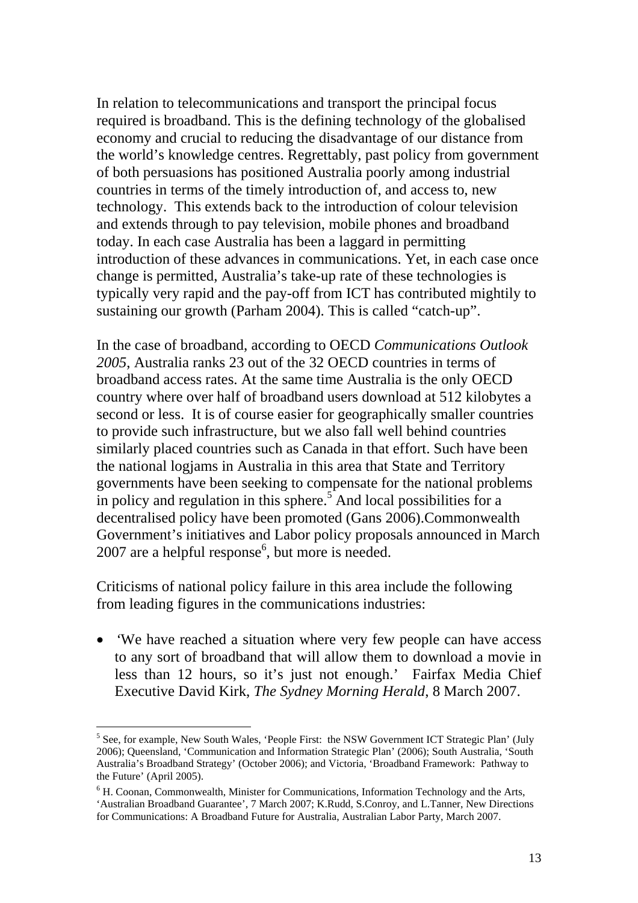In relation to telecommunications and transport the principal focus required is broadband. This is the defining technology of the globalised economy and crucial to reducing the disadvantage of our distance from the world's knowledge centres. Regrettably, past policy from government of both persuasions has positioned Australia poorly among industrial countries in terms of the timely introduction of, and access to, new technology. This extends back to the introduction of colour television and extends through to pay television, mobile phones and broadband today. In each case Australia has been a laggard in permitting introduction of these advances in communications. Yet, in each case once change is permitted, Australia's take-up rate of these technologies is typically very rapid and the pay-off from ICT has contributed mightily to sustaining our growth (Parham 2004). This is called "catch-up".

In the case of broadband, according to OECD *Communications Outlook 2005*, Australia ranks 23 out of the 32 OECD countries in terms of broadband access rates. At the same time Australia is the only OECD country where over half of broadband users download at 512 kilobytes a second or less. It is of course easier for geographically smaller countries to provide such infrastructure, but we also fall well behind countries similarly placed countries such as Canada in that effort. Such have been the national logjams in Australia in this area that State and Territory governments have been seeking to compensate for the national problems in policy and regulation in this sphere.<sup>5</sup> And local possibilities for a decentralised policy have been promoted (Gans 2006).Commonwealth Government's initiatives and Labor policy proposals announced in March  $2007$  are a helpful response<sup>6</sup>, but more is needed.

Criticisms of national policy failure in this area include the following from leading figures in the communications industries:

• *'*We have reached a situation where very few people can have access to any sort of broadband that will allow them to download a movie in less than 12 hours, so it's just not enough.' Fairfax Media Chief Executive David Kirk, *The Sydney Morning Herald*, 8 March 2007.

 $\overline{a}$ 

<sup>&</sup>lt;sup>5</sup> See, for example, New South Wales, 'People First: the NSW Government ICT Strategic Plan' (July 2006); Queensland, 'Communication and Information Strategic Plan' (2006); South Australia, 'South Australia's Broadband Strategy' (October 2006); and Victoria, 'Broadband Framework: Pathway to the Future' (April 2005).

<sup>&</sup>lt;sup>6</sup> H. Coonan, Commonwealth, Minister for Communications, Information Technology and the Arts, 'Australian Broadband Guarantee', 7 March 2007; K.Rudd, S.Conroy, and L.Tanner, New Directions for Communications: A Broadband Future for Australia, Australian Labor Party, March 2007.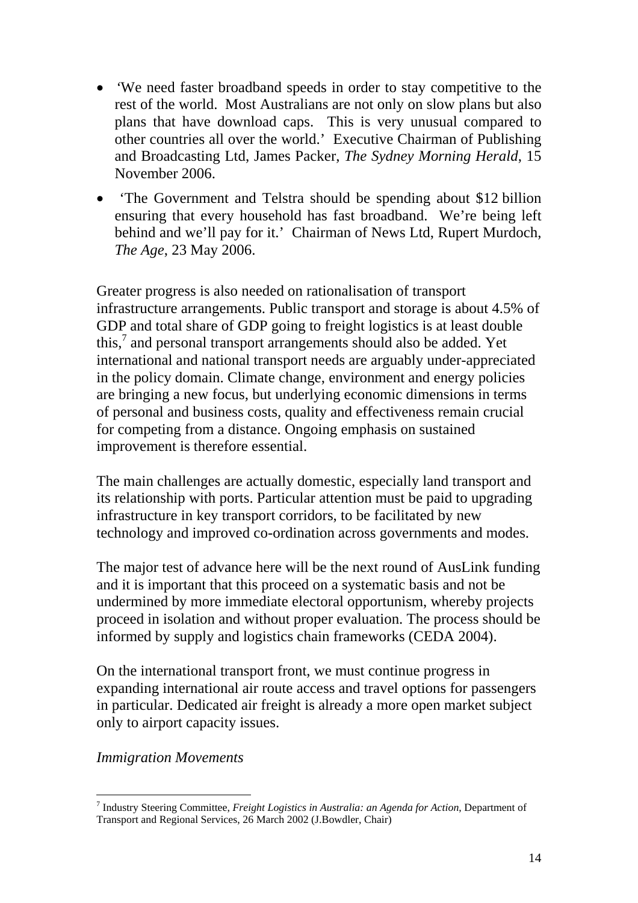- *'We need faster broadband speeds in order to stay competitive to the* rest of the world. Most Australians are not only on slow plans but also plans that have download caps. This is very unusual compared to other countries all over the world.' Executive Chairman of Publishing and Broadcasting Ltd, James Packer, *The Sydney Morning Herald*, 15 November 2006.
- The Government and Telstra should be spending about \$12 billion ensuring that every household has fast broadband. We're being left behind and we'll pay for it.' Chairman of News Ltd, Rupert Murdoch, *The Age*, 23 May 2006.

Greater progress is also needed on rationalisation of transport infrastructure arrangements. Public transport and storage is about 4.5% of GDP and total share of GDP going to freight logistics is at least double this,<sup>7</sup> and personal transport arrangements should also be added. Yet international and national transport needs are arguably under-appreciated in the policy domain. Climate change, environment and energy policies are bringing a new focus, but underlying economic dimensions in terms of personal and business costs, quality and effectiveness remain crucial for competing from a distance. Ongoing emphasis on sustained improvement is therefore essential.

The main challenges are actually domestic, especially land transport and its relationship with ports. Particular attention must be paid to upgrading infrastructure in key transport corridors, to be facilitated by new technology and improved co-ordination across governments and modes.

The major test of advance here will be the next round of AusLink funding and it is important that this proceed on a systematic basis and not be undermined by more immediate electoral opportunism, whereby projects proceed in isolation and without proper evaluation. The process should be informed by supply and logistics chain frameworks (CEDA 2004).

On the international transport front, we must continue progress in expanding international air route access and travel options for passengers in particular. Dedicated air freight is already a more open market subject only to airport capacity issues.

*Immigration Movements* 

 $\overline{a}$ 

<sup>7</sup> Industry Steering Committee, *Freight Logistics in Australia: an Agenda for Action*, Department of Transport and Regional Services, 26 March 2002 (J.Bowdler, Chair)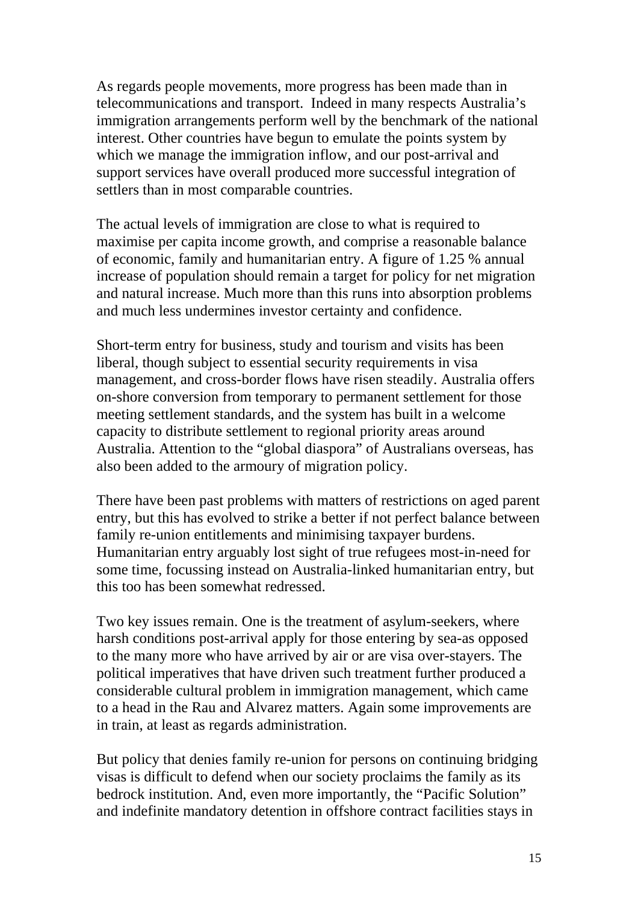As regards people movements, more progress has been made than in telecommunications and transport. Indeed in many respects Australia's immigration arrangements perform well by the benchmark of the national interest. Other countries have begun to emulate the points system by which we manage the immigration inflow, and our post-arrival and support services have overall produced more successful integration of settlers than in most comparable countries.

The actual levels of immigration are close to what is required to maximise per capita income growth, and comprise a reasonable balance of economic, family and humanitarian entry. A figure of 1.25 % annual increase of population should remain a target for policy for net migration and natural increase. Much more than this runs into absorption problems and much less undermines investor certainty and confidence.

Short-term entry for business, study and tourism and visits has been liberal, though subject to essential security requirements in visa management, and cross-border flows have risen steadily. Australia offers on-shore conversion from temporary to permanent settlement for those meeting settlement standards, and the system has built in a welcome capacity to distribute settlement to regional priority areas around Australia. Attention to the "global diaspora" of Australians overseas, has also been added to the armoury of migration policy.

There have been past problems with matters of restrictions on aged parent entry, but this has evolved to strike a better if not perfect balance between family re-union entitlements and minimising taxpayer burdens. Humanitarian entry arguably lost sight of true refugees most-in-need for some time, focussing instead on Australia-linked humanitarian entry, but this too has been somewhat redressed.

Two key issues remain. One is the treatment of asylum-seekers, where harsh conditions post-arrival apply for those entering by sea-as opposed to the many more who have arrived by air or are visa over-stayers. The political imperatives that have driven such treatment further produced a considerable cultural problem in immigration management, which came to a head in the Rau and Alvarez matters. Again some improvements are in train, at least as regards administration.

But policy that denies family re-union for persons on continuing bridging visas is difficult to defend when our society proclaims the family as its bedrock institution. And, even more importantly, the "Pacific Solution" and indefinite mandatory detention in offshore contract facilities stays in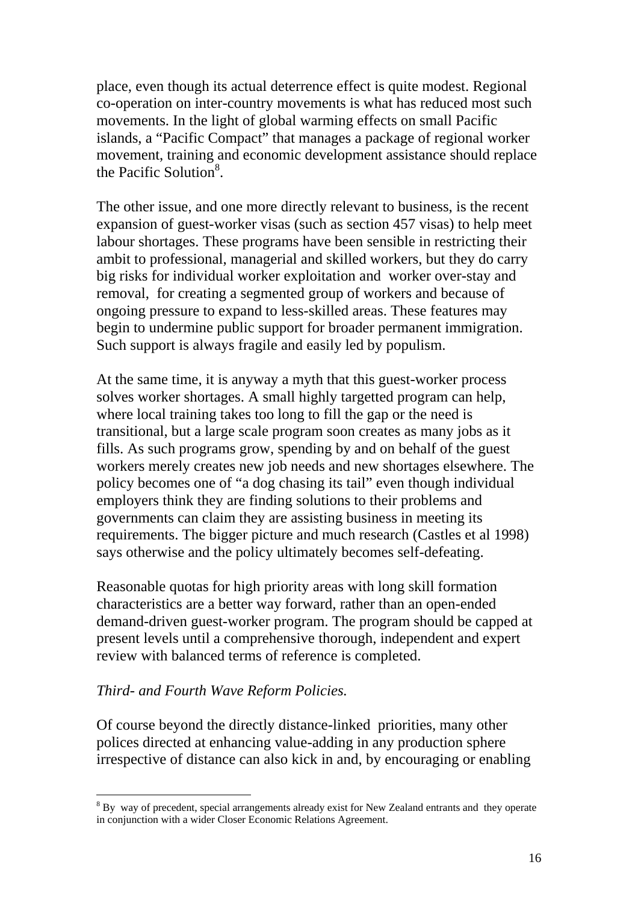place, even though its actual deterrence effect is quite modest. Regional co-operation on inter-country movements is what has reduced most such movements. In the light of global warming effects on small Pacific islands, a "Pacific Compact" that manages a package of regional worker movement, training and economic development assistance should replace the Pacific Solution<sup>8</sup>.

The other issue, and one more directly relevant to business, is the recent expansion of guest-worker visas (such as section 457 visas) to help meet labour shortages. These programs have been sensible in restricting their ambit to professional, managerial and skilled workers, but they do carry big risks for individual worker exploitation and worker over-stay and removal, for creating a segmented group of workers and because of ongoing pressure to expand to less-skilled areas. These features may begin to undermine public support for broader permanent immigration. Such support is always fragile and easily led by populism.

At the same time, it is anyway a myth that this guest-worker process solves worker shortages. A small highly targetted program can help, where local training takes too long to fill the gap or the need is transitional, but a large scale program soon creates as many jobs as it fills. As such programs grow, spending by and on behalf of the guest workers merely creates new job needs and new shortages elsewhere. The policy becomes one of "a dog chasing its tail" even though individual employers think they are finding solutions to their problems and governments can claim they are assisting business in meeting its requirements. The bigger picture and much research (Castles et al 1998) says otherwise and the policy ultimately becomes self-defeating.

Reasonable quotas for high priority areas with long skill formation characteristics are a better way forward, rather than an open-ended demand-driven guest-worker program. The program should be capped at present levels until a comprehensive thorough, independent and expert review with balanced terms of reference is completed.

#### *Third- and Fourth Wave Reform Policies.*

 $\overline{a}$ 

Of course beyond the directly distance-linked priorities, many other polices directed at enhancing value-adding in any production sphere irrespective of distance can also kick in and, by encouraging or enabling

 $8$  By way of precedent, special arrangements already exist for New Zealand entrants and they operate in conjunction with a wider Closer Economic Relations Agreement.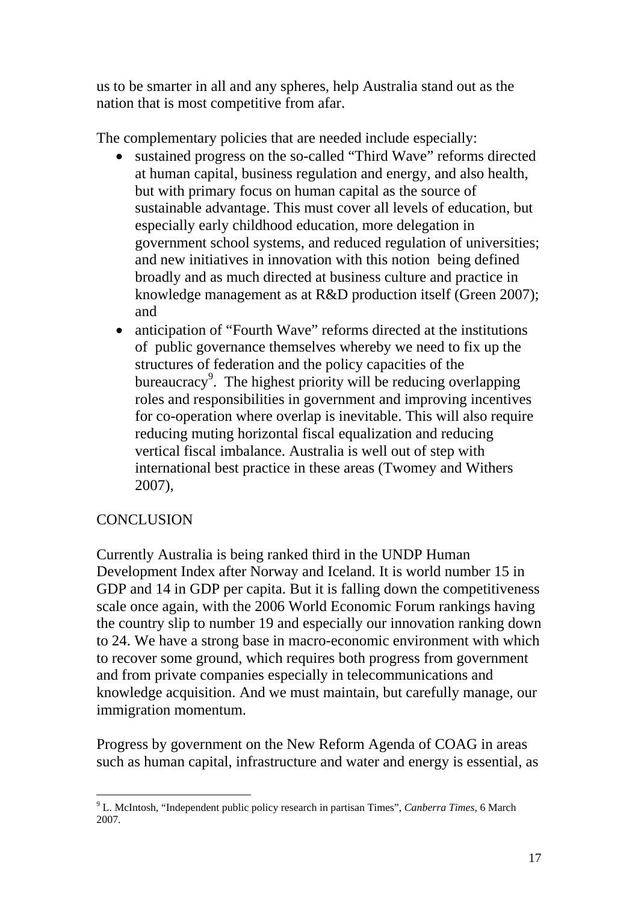us to be smarter in all and any spheres, help Australia stand out as the nation that is most competitive from afar.

The complementary policies that are needed include especially:

- sustained progress on the so-called "Third Wave" reforms directed at human capital, business regulation and energy, and also health, but with primary focus on human capital as the source of sustainable advantage. This must cover all levels of education, but especially early childhood education, more delegation in government school systems, and reduced regulation of universities; and new initiatives in innovation with this notion being defined broadly and as much directed at business culture and practice in knowledge management as at R&D production itself (Green 2007); and
- anticipation of "Fourth Wave" reforms directed at the institutions of public governance themselves whereby we need to fix up the structures of federation and the policy capacities of the bureaucracy<sup>9</sup>. The highest priority will be reducing overlapping roles and responsibilities in government and improving incentives for co-operation where overlap is inevitable. This will also require reducing muting horizontal fiscal equalization and reducing vertical fiscal imbalance. Australia is well out of step with international best practice in these areas (Twomey and Withers 2007),

# **CONCLUSION**

 $\overline{a}$ 

Currently Australia is being ranked third in the UNDP Human Development Index after Norway and Iceland. It is world number 15 in GDP and 14 in GDP per capita. But it is falling down the competitiveness scale once again, with the 2006 World Economic Forum rankings having the country slip to number 19 and especially our innovation ranking down to 24. We have a strong base in macro-economic environment with which to recover some ground, which requires both progress from government and from private companies especially in telecommunications and knowledge acquisition. And we must maintain, but carefully manage, our immigration momentum.

Progress by government on the New Reform Agenda of COAG in areas such as human capital, infrastructure and water and energy is essential, as

<sup>9</sup> L. McIntosh, "Independent public policy research in partisan Times", *Canberra Times*, 6 March 2007.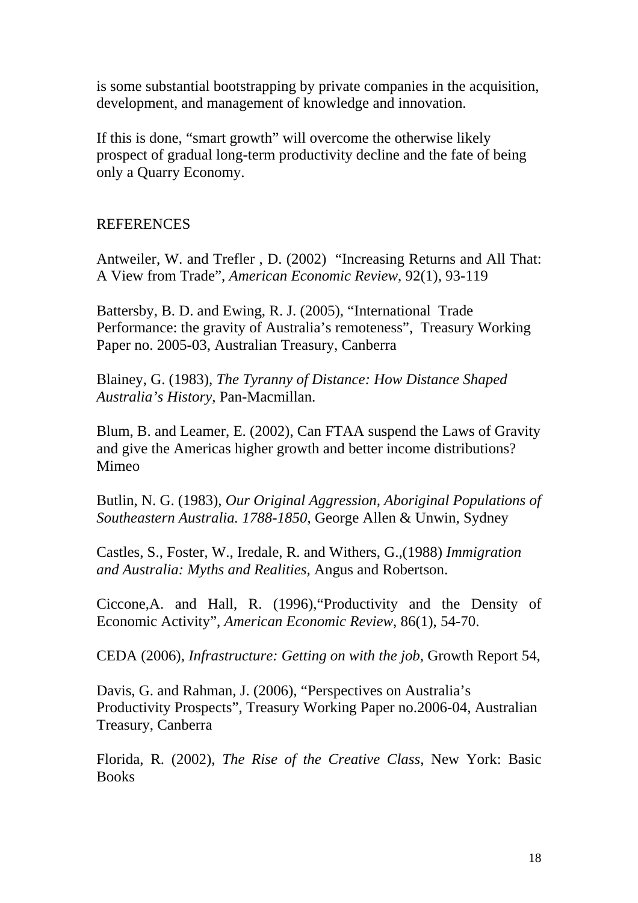is some substantial bootstrapping by private companies in the acquisition, development, and management of knowledge and innovation.

If this is done, "smart growth" will overcome the otherwise likely prospect of gradual long-term productivity decline and the fate of being only a Quarry Economy.

### REFERENCES

Antweiler, W. and Trefler , D. (2002) "Increasing Returns and All That: A View from Trade", *American Economic Review*, 92(1), 93-119

Battersby, B. D. and Ewing, R. J. (2005), "International Trade Performance: the gravity of Australia's remoteness", Treasury Working Paper no. 2005-03, Australian Treasury, Canberra

Blainey, G. (1983), *The Tyranny of Distance: How Distance Shaped Australia's History*, Pan-Macmillan.

Blum, B. and Leamer, E. (2002), Can FTAA suspend the Laws of Gravity and give the Americas higher growth and better income distributions? Mimeo

Butlin, N. G. (1983), *Our Original Aggression, Aboriginal Populations of Southeastern Australia. 1788-1850*, George Allen & Unwin, Sydney

Castles, S., Foster, W., Iredale, R. and Withers, G.,(1988) *Immigration and Australia: Myths and Realities,* Angus and Robertson.

Ciccone,A. and Hall, R. (1996),"Productivity and the Density of Economic Activity", *American Economic Review*, 86(1), 54-70.

CEDA (2006), *Infrastructure: Getting on with the job*, Growth Report 54,

Davis, G. and Rahman, J. (2006), "Perspectives on Australia's Productivity Prospects", Treasury Working Paper no.2006-04, Australian Treasury, Canberra

Florida, R. (2002), *The Rise of the Creative Class*, New York: Basic **Books**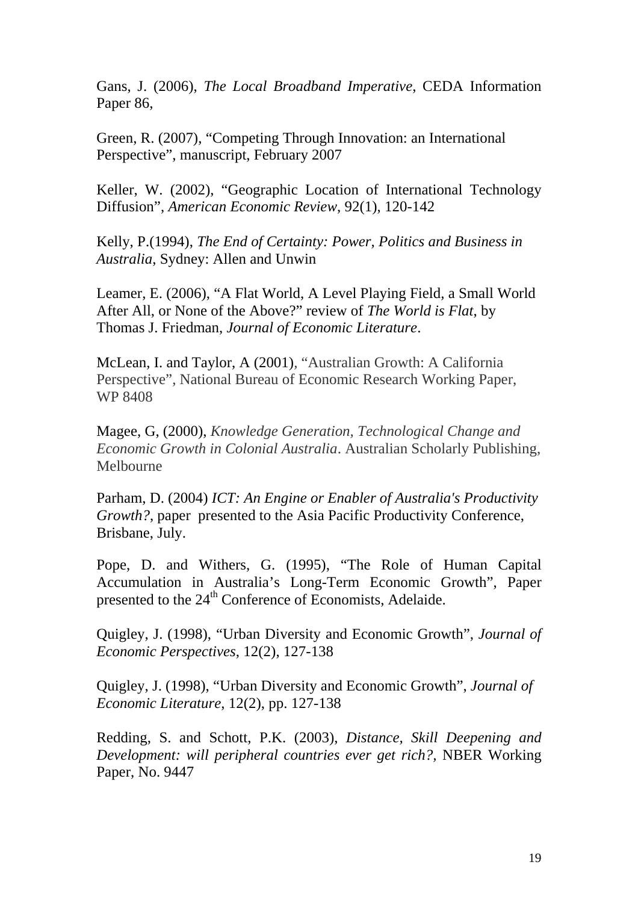Gans, J. (2006), *The Local Broadband Imperative*, CEDA Information Paper 86,

Green, R. (2007), "Competing Through Innovation: an International Perspective", manuscript, February 2007

Keller, W. (2002), "Geographic Location of International Technology Diffusion", *American Economic Review*, 92(1), 120-142

Kelly, P.(1994), *The End of Certainty: Power, Politics and Business in Australia*, Sydney: Allen and Unwin

Leamer, E. (2006), "A Flat World, A Level Playing Field, a Small World After All, or None of the Above?" review of *The World is Flat*, by Thomas J. Friedman, *Journal of Economic Literature*.

McLean, I. and Taylor, A (2001)*,* "Australian Growth: A California Perspective", National Bureau of Economic Research Working Paper, WP 8408

Magee, G, (2000), *Knowledge Generation, Technological Change and Economic Growth in Colonial Australia*. Australian Scholarly Publishing, Melbourne

Parham, D. (2004) *ICT: An Engine or Enabler of Australia's Productivity Growth?*, paper presented to the Asia Pacific Productivity Conference, Brisbane, July.

Pope, D. and Withers, G. (1995), "The Role of Human Capital Accumulation in Australia's Long-Term Economic Growth", Paper presented to the 24<sup>th</sup> Conference of Economists, Adelaide.

Quigley, J. (1998), "Urban Diversity and Economic Growth", *Journal of Economic Perspectives*, 12(2), 127-138

Quigley, J. (1998), "Urban Diversity and Economic Growth", *Journal of Economic Literature*, 12(2), pp. 127-138

Redding, S. and Schott, P.K. (2003), *Distance, Skill Deepening and Development: will peripheral countries ever get rich?,* NBER Working Paper, No. 9447